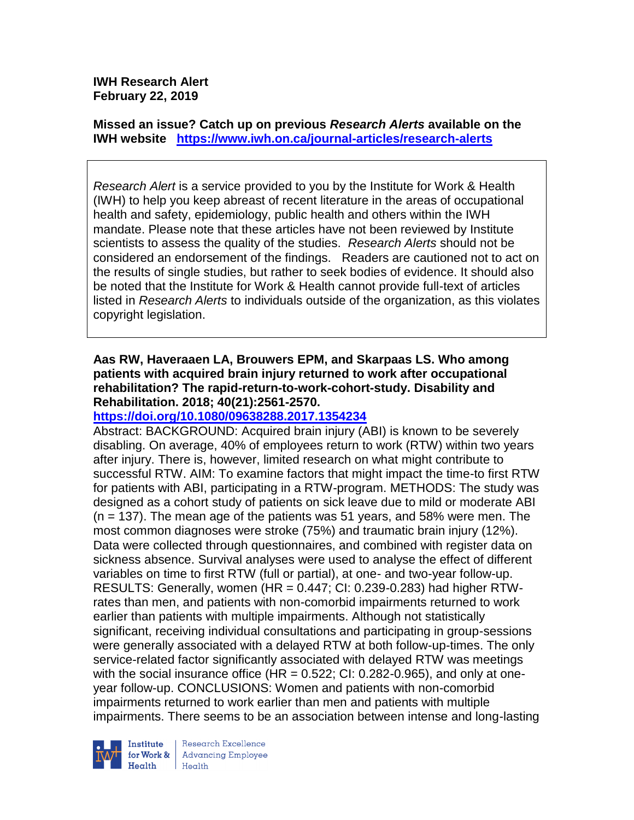**IWH Research Alert February 22, 2019**

**Missed an issue? Catch up on previous** *Research Alerts* **available on the [IWH website](http://www.iwh.on.ca/research-alerts) <https://www.iwh.on.ca/journal-articles/research-alerts>**

*Research Alert* is a service provided to you by the Institute for Work & Health (IWH) to help you keep abreast of recent literature in the areas of occupational health and safety, epidemiology, public health and others within the IWH mandate. Please note that these articles have not been reviewed by Institute scientists to assess the quality of the studies. *Research Alerts* should not be considered an endorsement of the findings. Readers are cautioned not to act on the results of single studies, but rather to seek bodies of evidence. It should also be noted that the Institute for Work & Health cannot provide full-text of articles listed in *Research Alerts* to individuals outside of the organization, as this violates copyright legislation.

### **Aas RW, Haveraaen LA, Brouwers EPM, and Skarpaas LS. Who among patients with acquired brain injury returned to work after occupational rehabilitation? The rapid-return-to-work-cohort-study. Disability and Rehabilitation. 2018; 40(21):2561-2570.**

#### **<https://doi.org/10.1080/09638288.2017.1354234>**

Abstract: BACKGROUND: Acquired brain injury (ABI) is known to be severely disabling. On average, 40% of employees return to work (RTW) within two years after injury. There is, however, limited research on what might contribute to successful RTW. AIM: To examine factors that might impact the time-to first RTW for patients with ABI, participating in a RTW-program. METHODS: The study was designed as a cohort study of patients on sick leave due to mild or moderate ABI  $(n = 137)$ . The mean age of the patients was 51 years, and 58% were men. The most common diagnoses were stroke (75%) and traumatic brain injury (12%). Data were collected through questionnaires, and combined with register data on sickness absence. Survival analyses were used to analyse the effect of different variables on time to first RTW (full or partial), at one- and two-year follow-up. RESULTS: Generally, women (HR = 0.447; CI: 0.239-0.283) had higher RTWrates than men, and patients with non-comorbid impairments returned to work earlier than patients with multiple impairments. Although not statistically significant, receiving individual consultations and participating in group-sessions were generally associated with a delayed RTW at both follow-up-times. The only service-related factor significantly associated with delayed RTW was meetings with the social insurance office (HR =  $0.522$ ; CI:  $0.282$ -0.965), and only at oneyear follow-up. CONCLUSIONS: Women and patients with non-comorbid impairments returned to work earlier than men and patients with multiple impairments. There seems to be an association between intense and long-lasting



Research Excellence **Advancing Employee** Health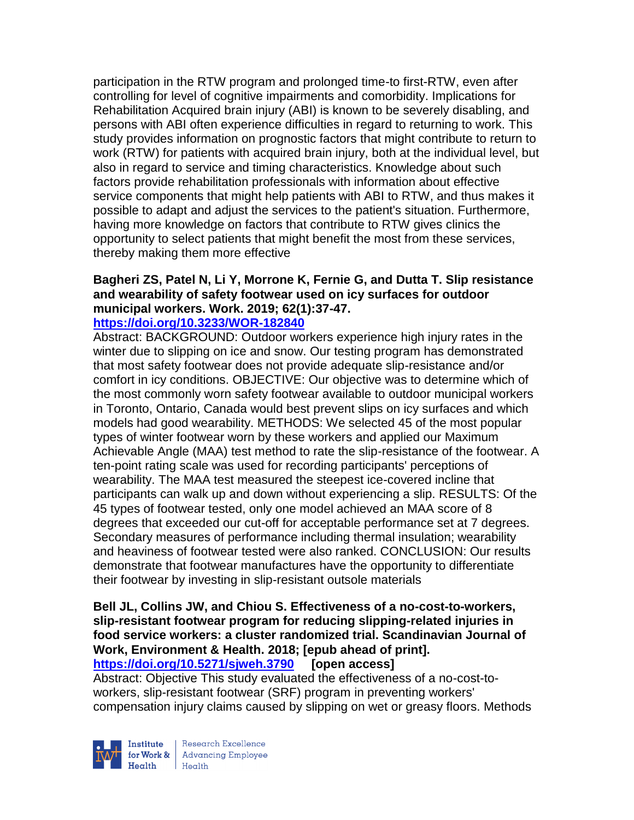participation in the RTW program and prolonged time-to first-RTW, even after controlling for level of cognitive impairments and comorbidity. Implications for Rehabilitation Acquired brain injury (ABI) is known to be severely disabling, and persons with ABI often experience difficulties in regard to returning to work. This study provides information on prognostic factors that might contribute to return to work (RTW) for patients with acquired brain injury, both at the individual level, but also in regard to service and timing characteristics. Knowledge about such factors provide rehabilitation professionals with information about effective service components that might help patients with ABI to RTW, and thus makes it possible to adapt and adjust the services to the patient's situation. Furthermore, having more knowledge on factors that contribute to RTW gives clinics the opportunity to select patients that might benefit the most from these services, thereby making them more effective

# **Bagheri ZS, Patel N, Li Y, Morrone K, Fernie G, and Dutta T. Slip resistance and wearability of safety footwear used on icy surfaces for outdoor municipal workers. Work. 2019; 62(1):37-47.**

#### **<https://doi.org/10.3233/WOR-182840>**

Abstract: BACKGROUND: Outdoor workers experience high injury rates in the winter due to slipping on ice and snow. Our testing program has demonstrated that most safety footwear does not provide adequate slip-resistance and/or comfort in icy conditions. OBJECTIVE: Our objective was to determine which of the most commonly worn safety footwear available to outdoor municipal workers in Toronto, Ontario, Canada would best prevent slips on icy surfaces and which models had good wearability. METHODS: We selected 45 of the most popular types of winter footwear worn by these workers and applied our Maximum Achievable Angle (MAA) test method to rate the slip-resistance of the footwear. A ten-point rating scale was used for recording participants' perceptions of wearability. The MAA test measured the steepest ice-covered incline that participants can walk up and down without experiencing a slip. RESULTS: Of the 45 types of footwear tested, only one model achieved an MAA score of 8 degrees that exceeded our cut-off for acceptable performance set at 7 degrees. Secondary measures of performance including thermal insulation; wearability and heaviness of footwear tested were also ranked. CONCLUSION: Our results demonstrate that footwear manufactures have the opportunity to differentiate their footwear by investing in slip-resistant outsole materials

#### **Bell JL, Collins JW, and Chiou S. Effectiveness of a no-cost-to-workers, slip-resistant footwear program for reducing slipping-related injuries in food service workers: a cluster randomized trial. Scandinavian Journal of Work, Environment & Health. 2018; [epub ahead of print]. <https://doi.org/10.5271/sjweh.3790> [open access]**

Abstract: Objective This study evaluated the effectiveness of a no-cost-toworkers, slip-resistant footwear (SRF) program in preventing workers' compensation injury claims caused by slipping on wet or greasy floors. Methods



Research Excellence  $H_{\text{eath}}$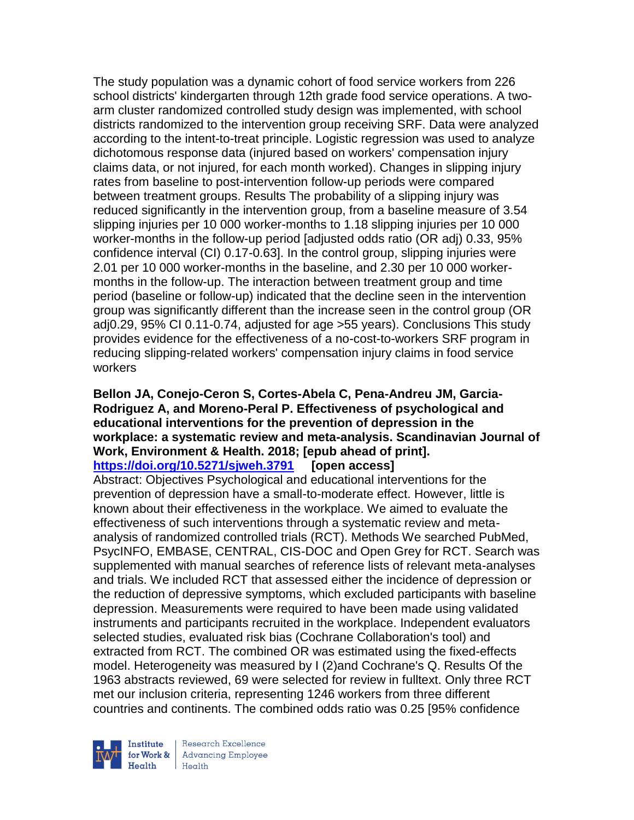The study population was a dynamic cohort of food service workers from 226 school districts' kindergarten through 12th grade food service operations. A twoarm cluster randomized controlled study design was implemented, with school districts randomized to the intervention group receiving SRF. Data were analyzed according to the intent-to-treat principle. Logistic regression was used to analyze dichotomous response data (injured based on workers' compensation injury claims data, or not injured, for each month worked). Changes in slipping injury rates from baseline to post-intervention follow-up periods were compared between treatment groups. Results The probability of a slipping injury was reduced significantly in the intervention group, from a baseline measure of 3.54 slipping injuries per 10 000 worker-months to 1.18 slipping injuries per 10 000 worker-months in the follow-up period [adjusted odds ratio (OR adj) 0.33, 95% confidence interval (CI) 0.17-0.63]. In the control group, slipping injuries were 2.01 per 10 000 worker-months in the baseline, and 2.30 per 10 000 workermonths in the follow-up. The interaction between treatment group and time period (baseline or follow-up) indicated that the decline seen in the intervention group was significantly different than the increase seen in the control group (OR adj0.29, 95% CI 0.11-0.74, adjusted for age >55 years). Conclusions This study provides evidence for the effectiveness of a no-cost-to-workers SRF program in reducing slipping-related workers' compensation injury claims in food service workers

#### **Bellon JA, Conejo-Ceron S, Cortes-Abela C, Pena-Andreu JM, Garcia-Rodriguez A, and Moreno-Peral P. Effectiveness of psychological and educational interventions for the prevention of depression in the workplace: a systematic review and meta-analysis. Scandinavian Journal of Work, Environment & Health. 2018; [epub ahead of print]. <https://doi.org/10.5271/sjweh.3791> [open access]**

Abstract: Objectives Psychological and educational interventions for the prevention of depression have a small-to-moderate effect. However, little is known about their effectiveness in the workplace. We aimed to evaluate the effectiveness of such interventions through a systematic review and metaanalysis of randomized controlled trials (RCT). Methods We searched PubMed, PsycINFO, EMBASE, CENTRAL, CIS-DOC and Open Grey for RCT. Search was supplemented with manual searches of reference lists of relevant meta-analyses and trials. We included RCT that assessed either the incidence of depression or the reduction of depressive symptoms, which excluded participants with baseline depression. Measurements were required to have been made using validated instruments and participants recruited in the workplace. Independent evaluators selected studies, evaluated risk bias (Cochrane Collaboration's tool) and extracted from RCT. The combined OR was estimated using the fixed-effects model. Heterogeneity was measured by I (2)and Cochrane's Q. Results Of the 1963 abstracts reviewed, 69 were selected for review in fulltext. Only three RCT met our inclusion criteria, representing 1246 workers from three different countries and continents. The combined odds ratio was 0.25 [95% confidence



Research Excellence for Work & | Advancing Employee Health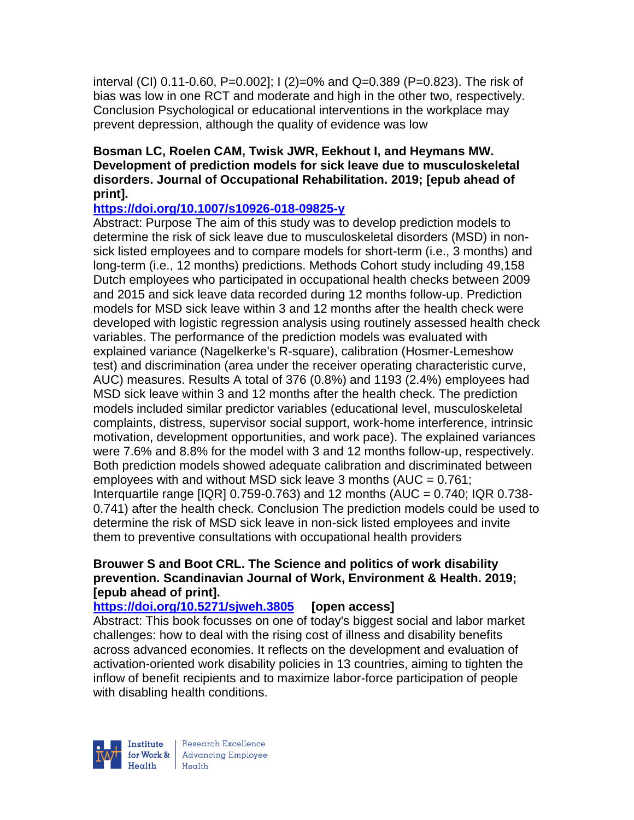interval (CI) 0.11-0.60, P=0.002]; I (2)=0% and Q=0.389 (P=0.823). The risk of bias was low in one RCT and moderate and high in the other two, respectively. Conclusion Psychological or educational interventions in the workplace may prevent depression, although the quality of evidence was low

### **Bosman LC, Roelen CAM, Twisk JWR, Eekhout I, and Heymans MW. Development of prediction models for sick leave due to musculoskeletal disorders. Journal of Occupational Rehabilitation. 2019; [epub ahead of print].**

### **<https://doi.org/10.1007/s10926-018-09825-y>**

Abstract: Purpose The aim of this study was to develop prediction models to determine the risk of sick leave due to musculoskeletal disorders (MSD) in nonsick listed employees and to compare models for short-term (i.e., 3 months) and long-term (i.e., 12 months) predictions. Methods Cohort study including 49,158 Dutch employees who participated in occupational health checks between 2009 and 2015 and sick leave data recorded during 12 months follow-up. Prediction models for MSD sick leave within 3 and 12 months after the health check were developed with logistic regression analysis using routinely assessed health check variables. The performance of the prediction models was evaluated with explained variance (Nagelkerke's R-square), calibration (Hosmer-Lemeshow test) and discrimination (area under the receiver operating characteristic curve, AUC) measures. Results A total of 376 (0.8%) and 1193 (2.4%) employees had MSD sick leave within 3 and 12 months after the health check. The prediction models included similar predictor variables (educational level, musculoskeletal complaints, distress, supervisor social support, work-home interference, intrinsic motivation, development opportunities, and work pace). The explained variances were 7.6% and 8.8% for the model with 3 and 12 months follow-up, respectively. Both prediction models showed adequate calibration and discriminated between employees with and without MSD sick leave 3 months (AUC = 0.761; Interquartile range  $[IQR]$  0.759-0.763) and 12 months (AUC = 0.740; IQR 0.738-0.741) after the health check. Conclusion The prediction models could be used to determine the risk of MSD sick leave in non-sick listed employees and invite them to preventive consultations with occupational health providers

#### **Brouwer S and Boot CRL. The Science and politics of work disability prevention. Scandinavian Journal of Work, Environment & Health. 2019; [epub ahead of print].**

# **<https://doi.org/10.5271/sjweh.3805> [open access]**

Abstract: This book focusses on one of today's biggest social and labor market challenges: how to deal with the rising cost of illness and disability benefits across advanced economies. It reflects on the development and evaluation of activation-oriented work disability policies in 13 countries, aiming to tighten the inflow of benefit recipients and to maximize labor-force participation of people with disabling health conditions.



Research Excellence for Work & | Advancing Employee Health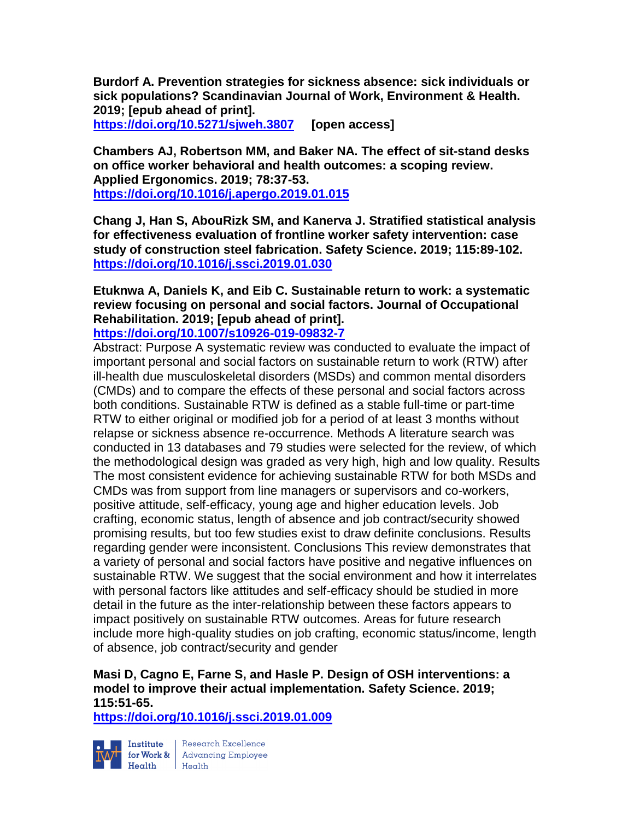**Burdorf A. Prevention strategies for sickness absence: sick individuals or sick populations? Scandinavian Journal of Work, Environment & Health. 2019; [epub ahead of print]. <https://doi.org/10.5271/sjweh.3807> [open access]**

**Chambers AJ, Robertson MM, and Baker NA. The effect of sit-stand desks on office worker behavioral and health outcomes: a scoping review. Applied Ergonomics. 2019; 78:37-53. <https://doi.org/10.1016/j.apergo.2019.01.015>** 

**Chang J, Han S, AbouRizk SM, and Kanerva J. Stratified statistical analysis for effectiveness evaluation of frontline worker safety intervention: case study of construction steel fabrication. Safety Science. 2019; 115:89-102. <https://doi.org/10.1016/j.ssci.2019.01.030>** 

**Etuknwa A, Daniels K, and Eib C. Sustainable return to work: a systematic review focusing on personal and social factors. Journal of Occupational Rehabilitation. 2019; [epub ahead of print].**

**<https://doi.org/10.1007/s10926-019-09832-7>** 

Abstract: Purpose A systematic review was conducted to evaluate the impact of important personal and social factors on sustainable return to work (RTW) after ill-health due musculoskeletal disorders (MSDs) and common mental disorders (CMDs) and to compare the effects of these personal and social factors across both conditions. Sustainable RTW is defined as a stable full-time or part-time RTW to either original or modified job for a period of at least 3 months without relapse or sickness absence re-occurrence. Methods A literature search was conducted in 13 databases and 79 studies were selected for the review, of which the methodological design was graded as very high, high and low quality. Results The most consistent evidence for achieving sustainable RTW for both MSDs and CMDs was from support from line managers or supervisors and co-workers, positive attitude, self-efficacy, young age and higher education levels. Job crafting, economic status, length of absence and job contract/security showed promising results, but too few studies exist to draw definite conclusions. Results regarding gender were inconsistent. Conclusions This review demonstrates that a variety of personal and social factors have positive and negative influences on sustainable RTW. We suggest that the social environment and how it interrelates with personal factors like attitudes and self-efficacy should be studied in more detail in the future as the inter-relationship between these factors appears to impact positively on sustainable RTW outcomes. Areas for future research include more high-quality studies on job crafting, economic status/income, length of absence, job contract/security and gender

# **Masi D, Cagno E, Farne S, and Hasle P. Design of OSH interventions: a model to improve their actual implementation. Safety Science. 2019; 115:51-65.**

**<https://doi.org/10.1016/j.ssci.2019.01.009>** 



Institute Research Excellence<br>
for Work & Advancing Employee<br>
Health Health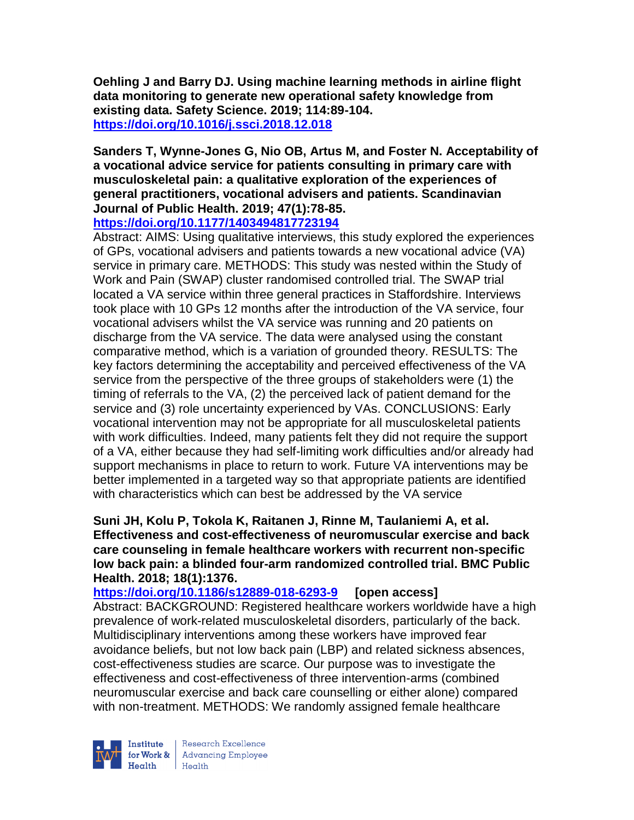**Oehling J and Barry DJ. Using machine learning methods in airline flight data monitoring to generate new operational safety knowledge from existing data. Safety Science. 2019; 114:89-104. <https://doi.org/10.1016/j.ssci.2018.12.018>** 

**Sanders T, Wynne-Jones G, Nio OB, Artus M, and Foster N. Acceptability of a vocational advice service for patients consulting in primary care with musculoskeletal pain: a qualitative exploration of the experiences of general practitioners, vocational advisers and patients. Scandinavian Journal of Public Health. 2019; 47(1):78-85. <https://doi.org/10.1177/1403494817723194>** 

Abstract: AIMS: Using qualitative interviews, this study explored the experiences of GPs, vocational advisers and patients towards a new vocational advice (VA) service in primary care. METHODS: This study was nested within the Study of Work and Pain (SWAP) cluster randomised controlled trial. The SWAP trial located a VA service within three general practices in Staffordshire. Interviews took place with 10 GPs 12 months after the introduction of the VA service, four vocational advisers whilst the VA service was running and 20 patients on discharge from the VA service. The data were analysed using the constant comparative method, which is a variation of grounded theory. RESULTS: The key factors determining the acceptability and perceived effectiveness of the VA service from the perspective of the three groups of stakeholders were (1) the timing of referrals to the VA, (2) the perceived lack of patient demand for the service and (3) role uncertainty experienced by VAs. CONCLUSIONS: Early vocational intervention may not be appropriate for all musculoskeletal patients with work difficulties. Indeed, many patients felt they did not require the support of a VA, either because they had self-limiting work difficulties and/or already had support mechanisms in place to return to work. Future VA interventions may be better implemented in a targeted way so that appropriate patients are identified with characteristics which can best be addressed by the VA service

**Suni JH, Kolu P, Tokola K, Raitanen J, Rinne M, Taulaniemi A, et al. Effectiveness and cost-effectiveness of neuromuscular exercise and back care counseling in female healthcare workers with recurrent non-specific low back pain: a blinded four-arm randomized controlled trial. BMC Public Health. 2018; 18(1):1376.**

**<https://doi.org/10.1186/s12889-018-6293-9> [open access]** Abstract: BACKGROUND: Registered healthcare workers worldwide have a high prevalence of work-related musculoskeletal disorders, particularly of the back. Multidisciplinary interventions among these workers have improved fear avoidance beliefs, but not low back pain (LBP) and related sickness absences, cost-effectiveness studies are scarce. Our purpose was to investigate the effectiveness and cost-effectiveness of three intervention-arms (combined neuromuscular exercise and back care counselling or either alone) compared with non-treatment. METHODS: We randomly assigned female healthcare



Research Excellence **Institute** Research Excellence<br> **For Work &**<br>
Marth Harlth Harlth  $Heath$